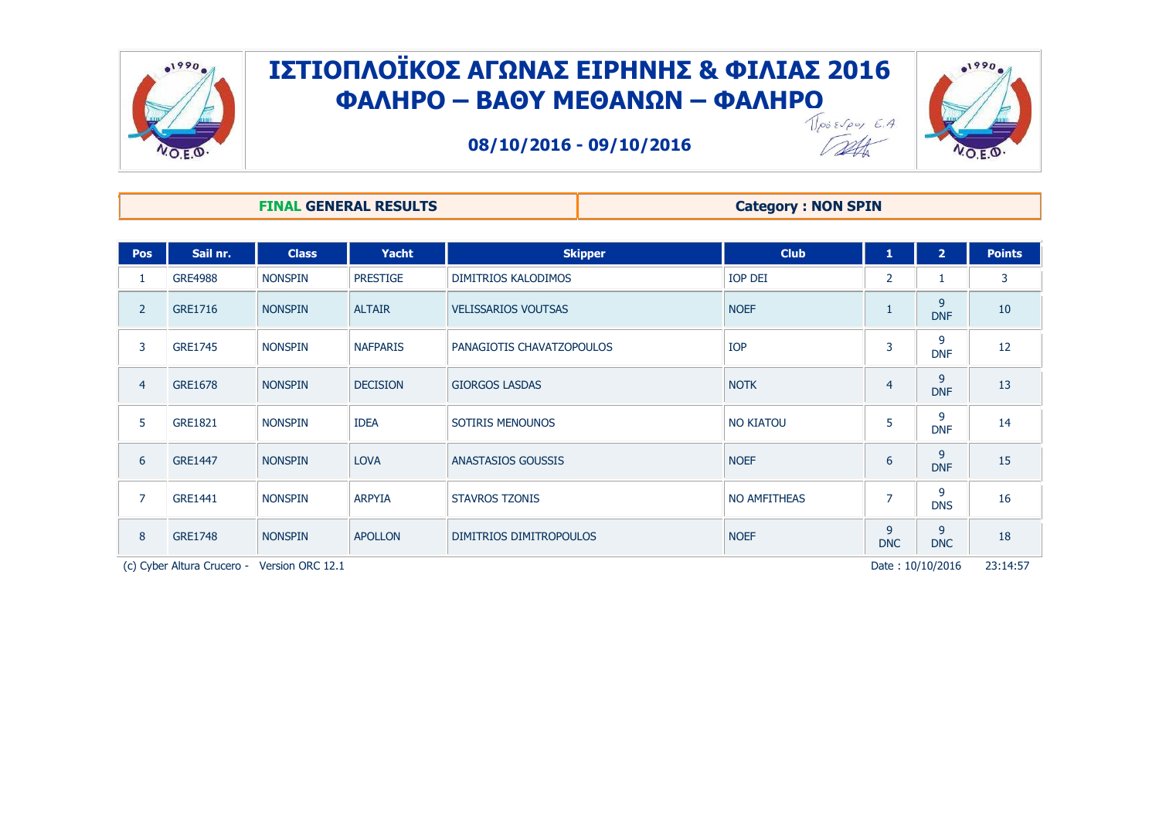

## ΙΣΤΙΟΠΛΟΪΚΟΣ ΑΓΩΝΑΣ ΕΙΡΗΝΗΣ & ΦΙΛΙΑΣ 2016 **ΦΑΛΗΡΟ – ΒΑΘΤ ΜΕΘΑΝΩΝ – ΦΑΛΗΡΟ**

**08/10/2016 - 09/10/2016**



## **FINAL GENERAL RESULTS Category : NON SPIN**

| <b>Pos</b>     | Sail nr.       | <b>Class</b>   | <b>Yacht</b>    | <b>Skipper</b>             | <b>Club</b>         | $\mathbf{1}$    | $\overline{2}$  | <b>Points</b> |
|----------------|----------------|----------------|-----------------|----------------------------|---------------------|-----------------|-----------------|---------------|
| 1              | <b>GRE4988</b> | <b>NONSPIN</b> | <b>PRESTIGE</b> | DIMITRIOS KALODIMOS        | <b>IOP DEI</b>      | $\overline{2}$  | ÷.              | 3             |
| $\overline{2}$ | <b>GRE1716</b> | <b>NONSPIN</b> | <b>ALTAIR</b>   | <b>VELISSARIOS VOUTSAS</b> | <b>NOEF</b>         | $\mathbf{1}$    | 9<br><b>DNF</b> | 10            |
| 3              | <b>GRE1745</b> | <b>NONSPIN</b> | <b>NAFPARIS</b> | PANAGIOTIS CHAVATZOPOULOS  | <b>IOP</b>          | 3               | 9<br><b>DNF</b> | 12            |
| $\overline{4}$ | <b>GRE1678</b> | <b>NONSPIN</b> | <b>DECISION</b> | <b>GIORGOS LASDAS</b>      | <b>NOTK</b>         | $\overline{4}$  | 9<br><b>DNF</b> | 13            |
| 5              | <b>GRE1821</b> | <b>NONSPIN</b> | <b>IDEA</b>     | SOTIRIS MENOUNOS           | <b>NO KIATOU</b>    | 5               | 9<br><b>DNF</b> | 14            |
| 6              | <b>GRE1447</b> | <b>NONSPIN</b> | <b>LOVA</b>     | ANASTASIOS GOUSSIS         | <b>NOEF</b>         | 6               | 9<br><b>DNF</b> | 15            |
| 7              | <b>GRE1441</b> | <b>NONSPIN</b> | <b>ARPYIA</b>   | <b>STAVROS TZONIS</b>      | <b>NO AMFITHEAS</b> | $\overline{7}$  | 9<br><b>DNS</b> | 16            |
| 8              | <b>GRE1748</b> | <b>NONSPIN</b> | <b>APOLLON</b>  | DIMITRIOS DIMITROPOULOS    | <b>NOEF</b>         | 9<br><b>DNC</b> | 9<br><b>DNC</b> | 18            |

(c) Cyber Altura Crucero - Version ORC 12.1 **Participal Crucero - Version ORC 12.1** Pate : 10/10/2016 23:14:57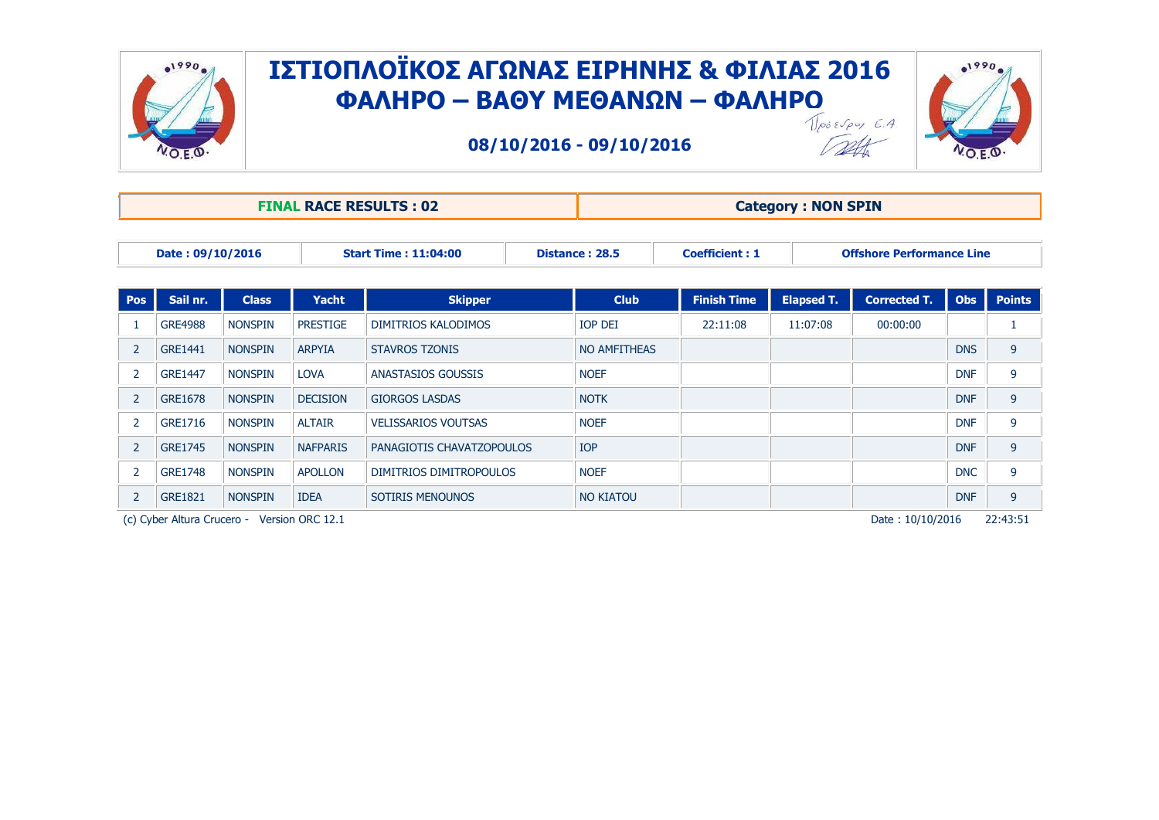

## ΙΣΤΙΟΠΛΟΪΚΟΣ ΑΓΩΝΑΣ ΕΙΡΗΝΗΣ & ΦΙΛΙΑΣ 2016 **ΦΑΛΗΡΟ – ΒΑΘΤ ΜΕΘΑΝΩΝ – ΦΑΛΗΡΟ**

**08/10/2016 - 09/10/2016**



Tatt.

|                  |                |                |                 | <b>FINAL RACE RESULTS: 02</b> | <b>Category: NON SPIN</b> |                       |                                  |                     |            |               |  |
|------------------|----------------|----------------|-----------------|-------------------------------|---------------------------|-----------------------|----------------------------------|---------------------|------------|---------------|--|
| Date: 09/10/2016 |                |                |                 | <b>Start Time: 11:04:00</b>   | Distance: 28.5            | <b>Coefficient: 1</b> | <b>Offshore Performance Line</b> |                     |            |               |  |
| Pos              | Sail nr.       | <b>Class</b>   | <b>Yacht</b>    | <b>Skipper</b>                | <b>Club</b>               | <b>Finish Time</b>    | <b>Elapsed T.</b>                | <b>Corrected T.</b> | <b>Obs</b> | <b>Points</b> |  |
|                  | <b>GRE4988</b> | <b>NONSPIN</b> | <b>PRESTIGE</b> | DIMITRIOS KALODIMOS           | <b>IOP DEI</b>            | 22:11:08              | 11:07:08                         | 00:00:00            |            |               |  |
| $\overline{2}$   | GRE1441        | <b>NONSPIN</b> | <b>ARPYIA</b>   | <b>STAVROS TZONIS</b>         | NO AMFITHEAS              |                       |                                  |                     | <b>DNS</b> | 9             |  |
| 2                | GRE1447        | <b>NONSPIN</b> | <b>LOVA</b>     | <b>ANASTASIOS GOUSSIS</b>     | <b>NOEF</b>               |                       |                                  |                     | <b>DNF</b> | 9             |  |
| $\overline{2}$   | <b>GRE1678</b> | <b>NONSPIN</b> | <b>DECISION</b> | <b>GIORGOS LASDAS</b>         | <b>NOTK</b>               |                       |                                  |                     | <b>DNF</b> | 9             |  |
| 2                | GRE1716        | <b>NONSPIN</b> | <b>ALTAIR</b>   | <b>VELISSARIOS VOUTSAS</b>    | <b>NOEF</b>               |                       |                                  |                     | <b>DNF</b> | 9             |  |
| $\overline{2}$   | <b>GRE1745</b> | <b>NONSPIN</b> | <b>NAFPARIS</b> | PANAGIOTIS CHAVATZOPOULOS     | <b>IOP</b>                |                       |                                  |                     | <b>DNF</b> | 9             |  |
| 2                | <b>GRE1748</b> | <b>NONSPIN</b> | <b>APOLLON</b>  | DIMITRIOS DIMITROPOULOS       | <b>NOEF</b>               |                       |                                  |                     | <b>DNC</b> | 9             |  |
| $\overline{2}$   | <b>GRE1821</b> | <b>NONSPIN</b> | <b>IDEA</b>     | <b>SOTIRIS MENOUNOS</b>       | <b>NO KIATOU</b>          |                       |                                  |                     | <b>DNF</b> | 9             |  |

(c) Cyber Altura Crucero - Version ORC 12.1  $\overline{22:43:51}$